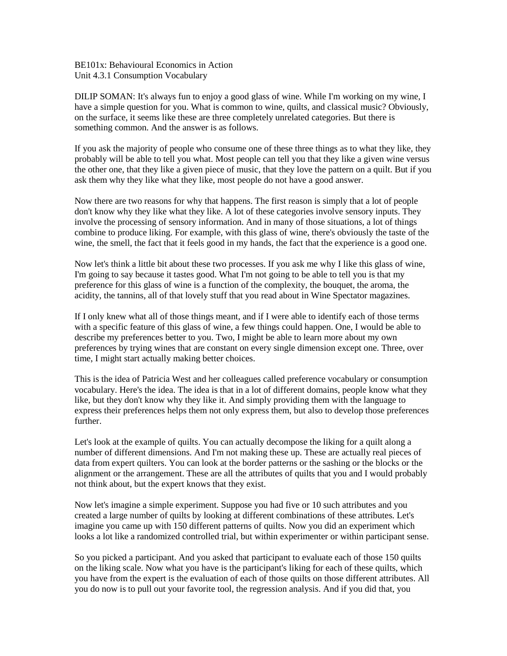BE101x: Behavioural Economics in Action Unit 4.3.1 Consumption Vocabulary

DILIP SOMAN: It's always fun to enjoy a good glass of wine. While I'm working on my wine, I have a simple question for you. What is common to wine, quilts, and classical music? Obviously, on the surface, it seems like these are three completely unrelated categories. But there is something common. And the answer is as follows.

If you ask the majority of people who consume one of these three things as to what they like, they probably will be able to tell you what. Most people can tell you that they like a given wine versus the other one, that they like a given piece of music, that they love the pattern on a quilt. But if you ask them why they like what they like, most people do not have a good answer.

Now there are two reasons for why that happens. The first reason is simply that a lot of people don't know why they like what they like. A lot of these categories involve sensory inputs. They involve the processing of sensory information. And in many of those situations, a lot of things combine to produce liking. For example, with this glass of wine, there's obviously the taste of the wine, the smell, the fact that it feels good in my hands, the fact that the experience is a good one.

Now let's think a little bit about these two processes. If you ask me why I like this glass of wine, I'm going to say because it tastes good. What I'm not going to be able to tell you is that my preference for this glass of wine is a function of the complexity, the bouquet, the aroma, the acidity, the tannins, all of that lovely stuff that you read about in Wine Spectator magazines.

If I only knew what all of those things meant, and if I were able to identify each of those terms with a specific feature of this glass of wine, a few things could happen. One, I would be able to describe my preferences better to you. Two, I might be able to learn more about my own preferences by trying wines that are constant on every single dimension except one. Three, over time, I might start actually making better choices.

This is the idea of Patricia West and her colleagues called preference vocabulary or consumption vocabulary. Here's the idea. The idea is that in a lot of different domains, people know what they like, but they don't know why they like it. And simply providing them with the language to express their preferences helps them not only express them, but also to develop those preferences further.

Let's look at the example of quilts. You can actually decompose the liking for a quilt along a number of different dimensions. And I'm not making these up. These are actually real pieces of data from expert quilters. You can look at the border patterns or the sashing or the blocks or the alignment or the arrangement. These are all the attributes of quilts that you and I would probably not think about, but the expert knows that they exist.

Now let's imagine a simple experiment. Suppose you had five or 10 such attributes and you created a large number of quilts by looking at different combinations of these attributes. Let's imagine you came up with 150 different patterns of quilts. Now you did an experiment which looks a lot like a randomized controlled trial, but within experimenter or within participant sense.

So you picked a participant. And you asked that participant to evaluate each of those 150 quilts on the liking scale. Now what you have is the participant's liking for each of these quilts, which you have from the expert is the evaluation of each of those quilts on those different attributes. All you do now is to pull out your favorite tool, the regression analysis. And if you did that, you